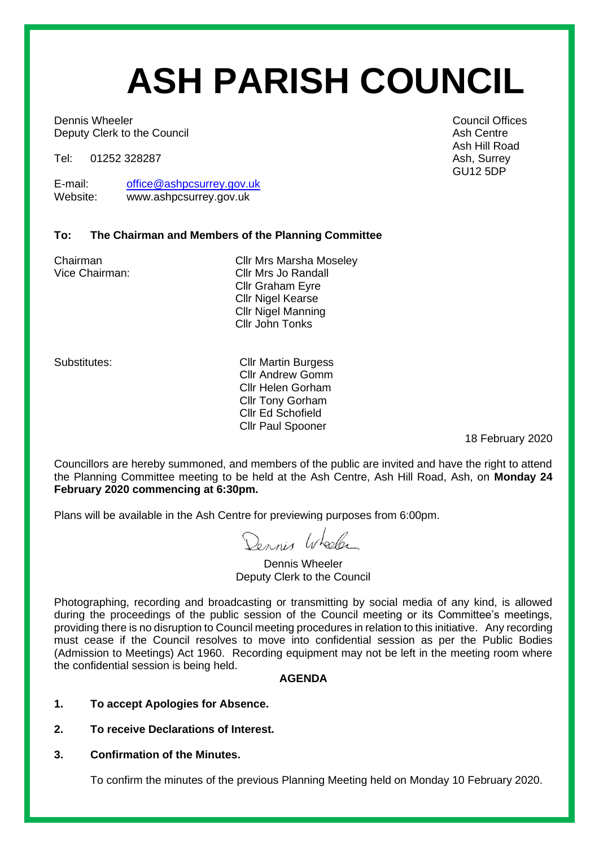# **ASH PARISH COUNCIL**

**Dennis Wheeler** Council Offices **Council Offices** Deputy Clerk to the Council and Ash Centre and Ash Centre and Ash Centre and Ash Centre

Tel: 01252 328287 Ash, Surrey

E-mail: [office@ashpcsurrey.gov.uk](mailto:office@ashpcsurrey.gov.uk)<br>
Website: www.ashpcsurrey.gov.uk www.ashpcsurrey.gov.uk

#### **To: The Chairman and Members of the Planning Committee**

Chairman Cllr Mrs Marsha Moseley Vice Chairman: Cllr Mrs Jo Randall Cllr Graham Eyre Cllr Nigel Kearse Cllr Nigel Manning Cllr John Tonks

Substitutes: Cllr Martin Burgess Cllr Andrew Gomm Cllr Helen Gorham Cllr Tony Gorham Cllr Ed Schofield Cllr Paul Spooner

18 February 2020

Councillors are hereby summoned, and members of the public are invited and have the right to attend the Planning Committee meeting to be held at the Ash Centre, Ash Hill Road, Ash, on **Monday 24 February 2020 commencing at 6:30pm.** 

Plans will be available in the Ash Centre for previewing purposes from 6:00pm.

Dennis Wheeler

Dennis Wheeler Deputy Clerk to the Council

Photographing, recording and broadcasting or transmitting by social media of any kind, is allowed during the proceedings of the public session of the Council meeting or its Committee's meetings, providing there is no disruption to Council meeting procedures in relation to this initiative. Any recording must cease if the Council resolves to move into confidential session as per the Public Bodies (Admission to Meetings) Act 1960. Recording equipment may not be left in the meeting room where the confidential session is being held.

#### **AGENDA**

- **1. To accept Apologies for Absence.**
- **2. To receive Declarations of Interest.**
- **3. Confirmation of the Minutes.**

To confirm the minutes of the previous Planning Meeting held on Monday 10 February 2020.

Ash Hill Road GU12 5DP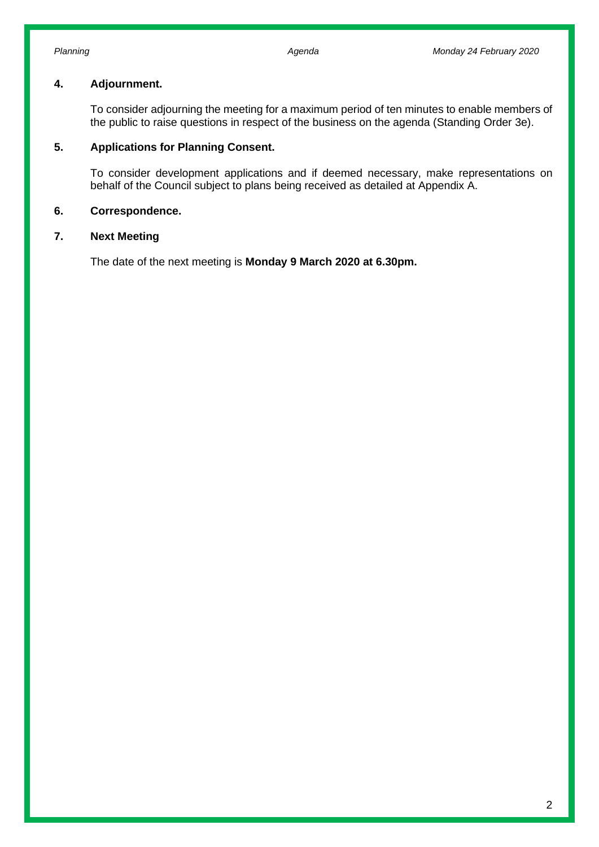#### **4. Adjournment.**

To consider adjourning the meeting for a maximum period of ten minutes to enable members of the public to raise questions in respect of the business on the agenda (Standing Order 3e).

#### **5. Applications for Planning Consent.**

To consider development applications and if deemed necessary, make representations on behalf of the Council subject to plans being received as detailed at Appendix A.

#### **6. Correspondence.**

#### **7. Next Meeting**

The date of the next meeting is **Monday 9 March 2020 at 6.30pm.**